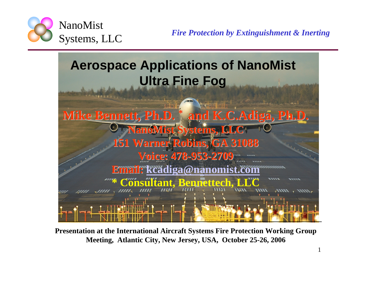

1



**Presentation at the International Aircraft Systems Fire Protection Working Group Meeting, Atlantic City, New Jersey, USA, October 25-26, 2006**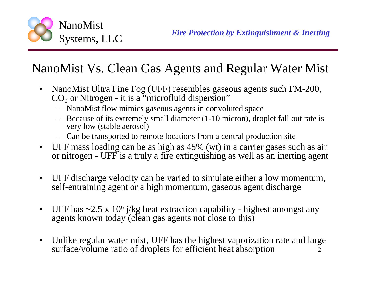

### NanoMist Vs. Clean Gas Agents and Regular Water Mist

- NanoMist Ultra Fine Fog (UFF) resembles gaseous agents such FM-200,  $\mathrm{CO}_2$  or Nitrogen - it is a "microfluid dispersion"
	- NanoMist flow mimics gaseous agents in convoluted space
	- Because of its extremely small diameter (1-10 micron), droplet fall out rate is very low (stable aerosol)
	- Can be transported to remote locations from a central production site
- UFF mass loading can be as high as 45% (wt) in a carrier gases such as air or nitrogen - UFF is a truly a fire extinguishing as well as an inerting agent
- • UFF discharge velocity can be varied to simulate either a low momentum, self-entraining agent or a high momentum, gaseous agent discharge
- •UFF has  $\sim$ 2.5 x 10<sup>6</sup> j/kg heat extraction capability - highest amongst any agents known today (clean gas agents not close to this)
- 2• Unlike regular water mist, UFF has the highest vaporization rate and large surface/volume ratio of droplets for efficient heat absorption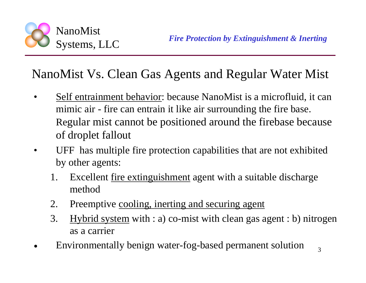

#### NanoMist Vs. Clean Gas Agents and Regular Water Mist

- • Self entrainment behavior: because NanoMist is a microfluid, it can mimic air - fire can entrain it like air surrounding the fire base. Regular mist cannot be positioned around the firebase because of droplet fallout
- • UFF has multiple fire protection capabilities that are not exhibited by other agents:
	- 1. Excellent fire extinguishment agent with a suitable discharge method
	- 2. Preemptive cooling, inerting and securing agent
	- 3. Hybrid system with : a) co-mist with clean gas agent : b) nitrogen as a carrier
- •Environmentally benign water-fog-based permanent solution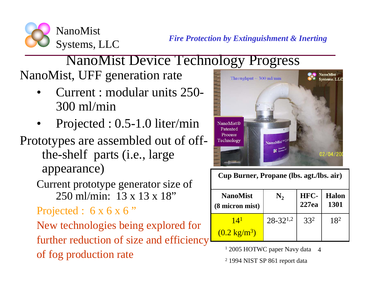*Fire Protection by Extinguishment & Inerting*

#### NanoMist Systems, LLC

# NanoMist Device Technology Progress

NanoMist, UFF generation rate

- • Current : modular units 250- 300 ml/min
- •Projected : 0.5-1.0 liter/min

### Prototypes are assembled out of offthe-shelf parts (i.e., large appearance)

Current prototype generator size of 250 ml/min: 13 x 13 x 18"

Projected :  $6 \times 6 \times 6$  "

New technologies being explored for further reduction of size and efficiency of fog production rate



**Cup Burner, Propane (lbs. agt./lbs. air)**

| <b>NanoMist</b>                           |                 | HFC-  | <b>Halon</b> |
|-------------------------------------------|-----------------|-------|--------------|
| (8 micron mist)                           |                 | 227ea | <b>1301</b>  |
| 14 <sup>1</sup><br>$(0.2 \text{ kg/m}^3)$ | $28 - 32^{1,2}$ | 332   | 182          |

4 1 2005 HOTWC paper Navy data

2 1994 NIST SP 861 report data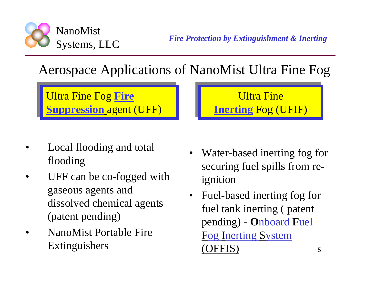

*Fire Protection by Extinguishment & Inerting*

### Aerospace Applications of NanoMist Ultra Fine Fog

Ultra Fine Fog **Fire**  Ultra Fine Fog **Fire Suppression** agent (UFF) **Suppression** agent (UFF)

- • Local flooding and total flooding
- • UFF can be co-fogged with gaseous agents and dissolved chemical agents (patent pending)
- • NanoMist Portable Fire Extinguishers
- Water-based inerting fog for securing fuel spills from reignition
- Fuel-based inerting fog for fuel tank inerting ( patent pending) - **O**nboard **F**uel Fog Inerting System  $\mathsf{FFIS}'$



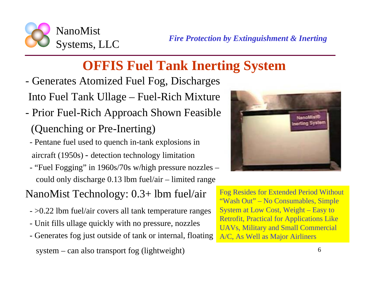

### **OFFIS Fuel Tank Inerting System**

- Generates Atomized Fuel Fog, Discharges Into Fuel Tank Ullage – Fuel-Rich Mixture
- Prior Fuel-Rich Approach Shown Feasible (Quenching or Pre-Inerting)
- Pentane fuel used to quench in-tank explosions in aircraft (1950s) - detection technology limitation
- "Fuel Fogging" in 1960s/70s w/high pressure nozzles could only discharge 0.13 lbm fuel/air – limited range
- NanoMist Technology: 0.3+ lbm fuel/air
	- >0.22 lbm fuel/air covers all tank temperature ranges
	- Unit fills ullage quickly with no pressure, nozzles
	- Generates fog just outside of tank or internal, floating

system – can also transport fog (lightweight)



Fog Resides for Extended Period Without "Wash Out" – No Consumables, Simple System at Low Cost, Weight – Easy to Retrofit, Practical for Applications Like UAVs, Military and Small Commercial A/C, As Well as Major Airliners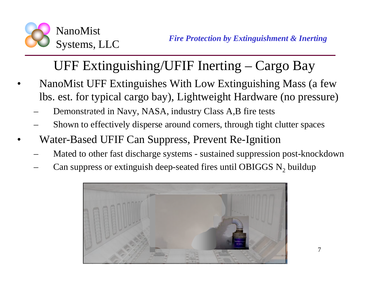

## UFF Extinguishing/UFIF Inerting – Cargo Bay

- • NanoMist UFF Extinguishes With Low Extinguishing Mass (a few lbs. est. for typical cargo bay), Lightweight Hardware (no pressure)
	- Demonstrated in Navy, NASA, industry Class A,B fire tests
	- Shown to effectively disperse around corners, through tight clutter spaces
- • Water-Based UFIF Can Suppress, Prevent Re-Ignition
	- Mated to other fast discharge systems sustained suppression post-knockdown  $150$  m
	- Can suppress or extinguish deep-seated fires until OBIGGS  $N_2$  buildup

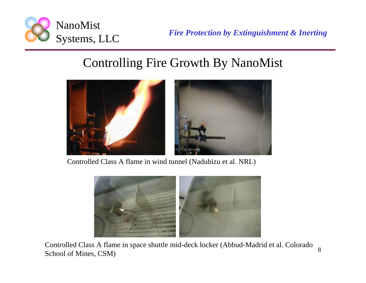

*Fire Protection by Extinguishment & Inerting*

#### Controlling Fire Growth By NanoMist



Controlled Class A flame in wind tunnel (Nadubizu et al. NRL)



8Controlled Class A flame in space shuttle mid-deck locker (Abbud-Madrid et al. Colorado School of Mines, CSM)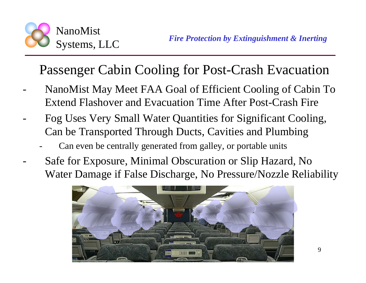

-

### Passenger Cabin Cooling for Post-Crash Evacuation

- NanoMist May Meet FAA Goal of Efficient Cooling of Cabin To Extend Flashover and Evacuation Time After Post-Crash Fire
- Fog Uses Very Small Water Quantities for Significant Cooling, Can be Transported Through Ducts, Cavities and Plumbing
	- Can even be centrally generated from galley, or portable units
- Safe for Exposure, Minimal Obscuration or Slip Hazard, No Water Damage if False Discharge, No Pressure/Nozzle Reliability